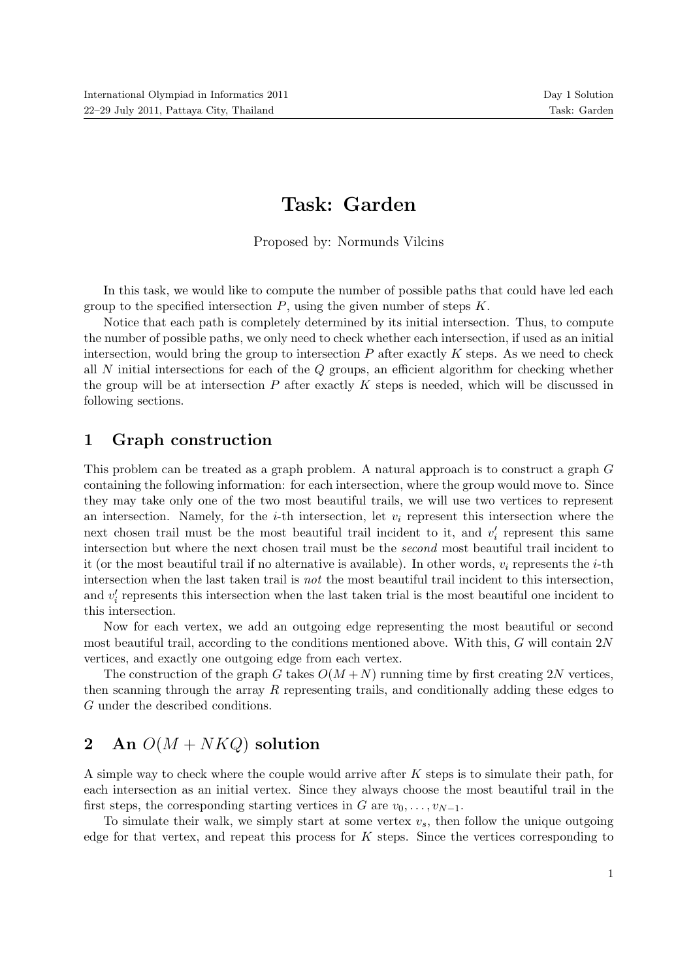# Task: Garden

Proposed by: Normunds Vilcins

In this task, we would like to compute the number of possible paths that could have led each group to the specified intersection  $P$ , using the given number of steps  $K$ .

Notice that each path is completely determined by its initial intersection. Thus, to compute the number of possible paths, we only need to check whether each intersection, if used as an initial intersection, would bring the group to intersection  $P$  after exactly  $K$  steps. As we need to check all N initial intersections for each of the Q groups, an efficient algorithm for checking whether the group will be at intersection  $P$  after exactly  $K$  steps is needed, which will be discussed in following sections.

#### 1 Graph construction

This problem can be treated as a graph problem. A natural approach is to construct a graph G containing the following information: for each intersection, where the group would move to. Since they may take only one of the two most beautiful trails, we will use two vertices to represent an intersection. Namely, for the *i*-th intersection, let  $v_i$  represent this intersection where the next chosen trail must be the most beautiful trail incident to it, and  $v_i'$  represent this same intersection but where the next chosen trail must be the second most beautiful trail incident to it (or the most beautiful trail if no alternative is available). In other words,  $v_i$  represents the *i*-th intersection when the last taken trail is not the most beautiful trail incident to this intersection, and  $v_i'$  represents this intersection when the last taken trial is the most beautiful one incident to this intersection.

Now for each vertex, we add an outgoing edge representing the most beautiful or second most beautiful trail, according to the conditions mentioned above. With this, G will contain 2N vertices, and exactly one outgoing edge from each vertex.

The construction of the graph G takes  $O(M+N)$  running time by first creating 2N vertices. then scanning through the array R representing trails, and conditionally adding these edges to G under the described conditions.

## 2 An  $O(M + NKQ)$  solution

A simple way to check where the couple would arrive after K steps is to simulate their path, for each intersection as an initial vertex. Since they always choose the most beautiful trail in the first steps, the corresponding starting vertices in G are  $v_0, \ldots, v_{N-1}$ .

To simulate their walk, we simply start at some vertex  $v_s$ , then follow the unique outgoing edge for that vertex, and repeat this process for  $K$  steps. Since the vertices corresponding to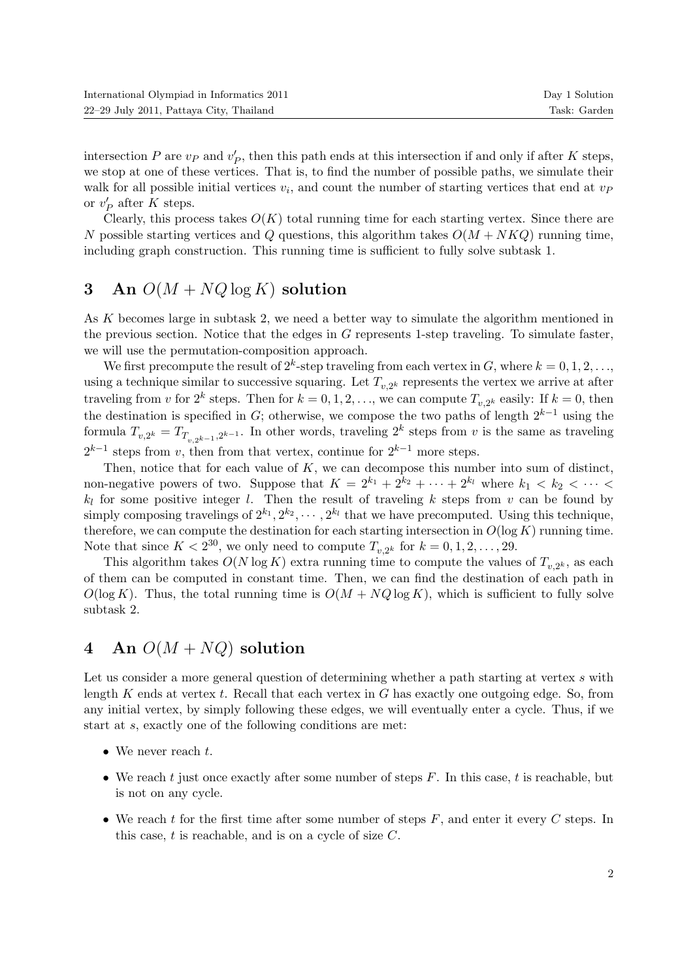| International Olympiad in Informatics 2011 | Day 1 Solution |
|--------------------------------------------|----------------|
| 22–29 July 2011, Pattaya City, Thailand    | Task: Garden   |

intersection  $P$  are  $v_P$  and  $v_P'$ , then this path ends at this intersection if and only if after  $K$  steps, we stop at one of these vertices. That is, to find the number of possible paths, we simulate their walk for all possible initial vertices  $v_i$ , and count the number of starting vertices that end at  $v_f$ or  $v'_P$  after K steps.

Clearly, this process takes  $O(K)$  total running time for each starting vertex. Since there are N possible starting vertices and Q questions, this algorithm takes  $O(M + NKQ)$  running time, including graph construction. This running time is sufficient to fully solve subtask 1.

### 3 An  $O(M + NQ \log K)$  solution

As K becomes large in subtask 2, we need a better way to simulate the algorithm mentioned in the previous section. Notice that the edges in G represents 1-step traveling. To simulate faster, we will use the permutation-composition approach.

We first precompute the result of  $2^k$ -step traveling from each vertex in G, where  $k = 0, 1, 2, \ldots$ using a technique similar to successive squaring. Let  $T_{v,2^k}$  represents the vertex we arrive at after traveling from v for  $2^k$  steps. Then for  $k = 0, 1, 2, \ldots$ , we can compute  $T_{v,2^k}$  easily: If  $k = 0$ , then the destination is specified in G; otherwise, we compose the two paths of length  $2^{k-1}$  using the formula  $T_{v,2^k} = T_{T_{v,2^{k-1}},2^{k-1}}$ . In other words, traveling  $2^k$  steps from v is the same as traveling  $2^{k-1}$  steps from v, then from that vertex, continue for  $2^{k-1}$  more steps.

Then, notice that for each value of  $K$ , we can decompose this number into sum of distinct, non-negative powers of two. Suppose that  $K = 2^{k_1} + 2^{k_2} + \cdots + 2^{k_l}$  where  $k_1 < k_2 < \cdots <$  $k_l$  for some positive integer l. Then the result of traveling k steps from v can be found by simply composing travelings of  $2^{k_1}, 2^{k_2}, \cdots, 2^{k_l}$  that we have precomputed. Using this technique, therefore, we can compute the destination for each starting intersection in  $O(\log K)$  running time. Note that since  $K < 2^{30}$ , we only need to compute  $T_{v,2^k}$  for  $k = 0, 1, 2, \ldots, 29$ .

This algorithm takes  $O(N \log K)$  extra running time to compute the values of  $T_{v,2^k}$ , as each of them can be computed in constant time. Then, we can find the destination of each path in  $O(\log K)$ . Thus, the total running time is  $O(M + NQ \log K)$ , which is sufficient to fully solve subtask 2.

## 4 An  $O(M + NQ)$  solution

Let us consider a more general question of determining whether a path starting at vertex s with length  $K$  ends at vertex  $t$ . Recall that each vertex in  $G$  has exactly one outgoing edge. So, from any initial vertex, by simply following these edges, we will eventually enter a cycle. Thus, if we start at s, exactly one of the following conditions are met:

- We never reach  $t$ .
- We reach t just once exactly after some number of steps  $F$ . In this case, t is reachable, but is not on any cycle.
- We reach t for the first time after some number of steps  $F$ , and enter it every  $C$  steps. In this case,  $t$  is reachable, and is on a cycle of size  $C$ .